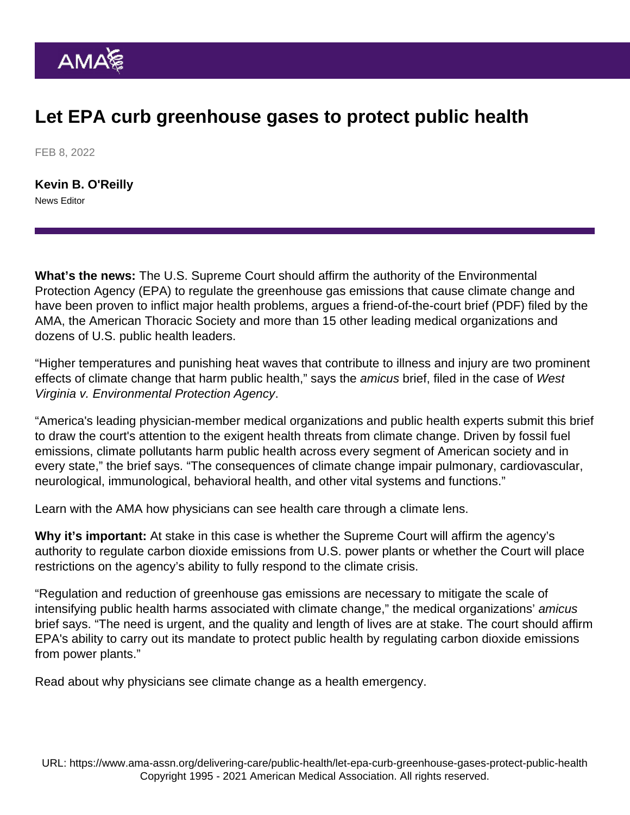## Let EPA curb greenhouse gases to protect public health

FEB 8, 2022

[Kevin B. O'Reilly](https://www.ama-assn.org/news-leadership-viewpoints/authors-news-leadership-viewpoints/kevin-b-oreilly) News Editor

What's the news: The U.S. Supreme Court should affirm the authority of the Environmental Protection Agency (EPA) to regulate the greenhouse gas emissions that cause [climate change](https://www.ama-assn.org/topics/climate-change) and have been proven to inflict major health problems, argues a [friend-of-the-court brief](https://www.supremecourt.gov/DocketPDF/20/20-1530/211345/20220125165209968_ELJC_WestVAvEPA_PublicHealthAmicus.pdf) (PDF) filed by the AMA, the American Thoracic Society and more than 15 other leading medical organizations and dozens of U.S. public health leaders.

"Higher temperatures and punishing heat waves that contribute to illness and injury are two prominent effects of climate change that harm public health," says the amicus brief, filed in the case of West Virginia v. Environmental Protection Agency.

"America's leading physician-member medical organizations and public health experts submit this brief to draw the court's attention to the exigent health threats from climate change. Driven by fossil fuel emissions, climate pollutants harm public health across every segment of American society and in every state," the brief says. "The consequences of climate change impair pulmonary, cardiovascular, neurological, immunological, behavioral health, and other vital systems and functions."

Learn with the AMA [how physicians can see health care through a climate lens](https://www.ama-assn.org/delivering-care/public-health/how-physicians-can-see-health-care-through-climate-lens).

Why it's important: At stake in this case is whether the Supreme Court will affirm the agency's authority to regulate carbon dioxide emissions from U.S. power plants or whether the Court will place restrictions on the agency's ability to fully respond to the climate crisis.

"Regulation and reduction of greenhouse gas emissions are necessary to mitigate the scale of intensifying public health harms associated with climate change," the medical organizations' amicus brief says. "The need is urgent, and the quality and length of lives are at stake. The court should affirm EPA's ability to carry out its mandate to protect public health by regulating carbon dioxide emissions from power plants."

Read about [why physicians see climate change as a health emergency.](https://www.ama-assn.org/delivering-care/public-health/why-physicians-see-climate-change-health-emergency)